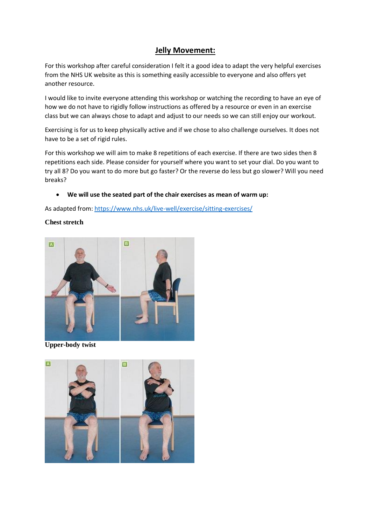### **Jelly Movement:**

For this workshop after careful consideration I felt it a good idea to adapt the very helpful exercises from the NHS UK website as this is something easily accessible to everyone and also offers yet another resource.

I would like to invite everyone attending this workshop or watching the recording to have an eye of how we do not have to rigidly follow instructions as offered by a resource or even in an exercise class but we can always chose to adapt and adjust to our needs so we can still enjoy our workout.

Exercising is for us to keep physically active and if we chose to also challenge ourselves. It does not have to be a set of rigid rules.

For this workshop we will aim to make 8 repetitions of each exercise. If there are two sides then 8 repetitions each side. Please consider for yourself where you want to set your dial. Do you want to try all 8? Do you want to do more but go faster? Or the reverse do less but go slower? Will you need breaks?

#### **We will use the seated part of the chair exercises as mean of warm up:**

As adapted from:<https://www.nhs.uk/live-well/exercise/sitting-exercises/>

#### **Chest stretch**



**Upper-body twist**

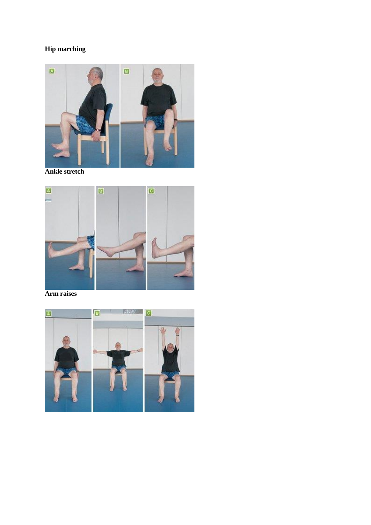# **Hip marching**



**Ankle stretch** 



Arm raises

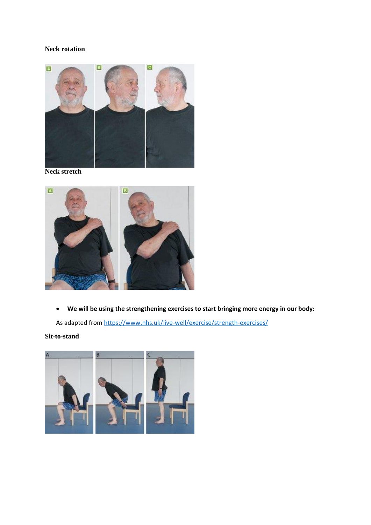#### **Neck rotation**



**Neck stretch**



**We will be using the strengthening exercises to start bringing more energy in our body:**

As adapted from<https://www.nhs.uk/live-well/exercise/strength-exercises/>

**Sit-to-stand**

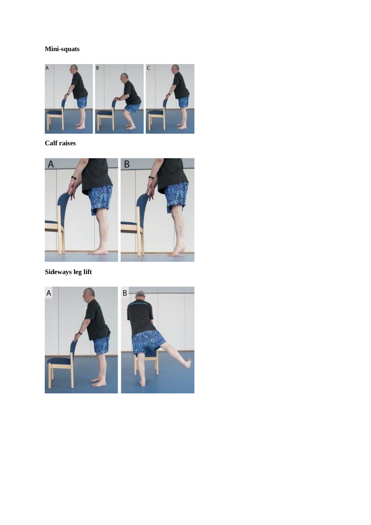### **Mini-squats**



# **Calf raises**



# **Sideways leg lift**

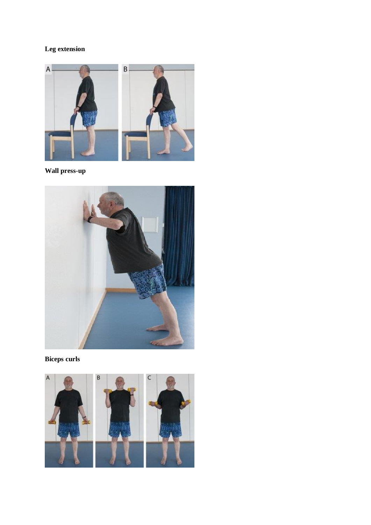# Leg extension



Wall press-up



**Biceps curls** 

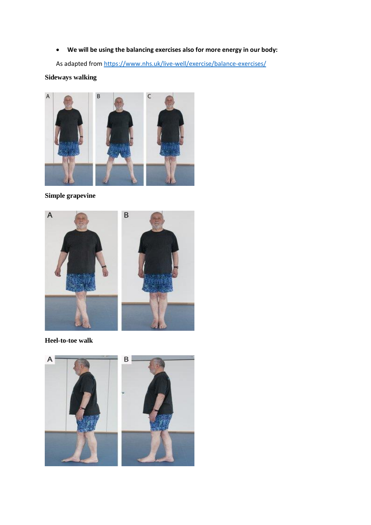**We will be using the balancing exercises also for more energy in our body:**

As adapted from<https://www.nhs.uk/live-well/exercise/balance-exercises/>

#### **Sideways walking**



**Simple grapevine**



**Heel-to-toe walk**

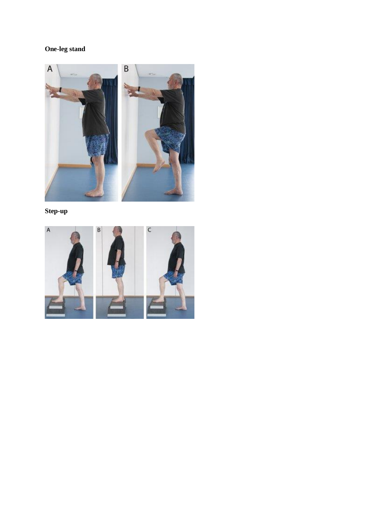# **One-leg stand**



**Step-up**

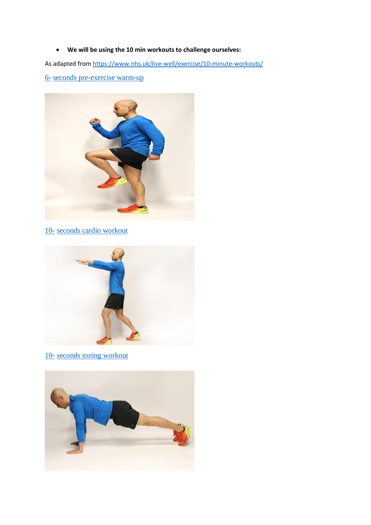**We will be using the 10 min workouts to challenge ourselves:**

As adapted from<https://www.nhs.uk/live-well/exercise/10-minute-workouts/>

6- [seconds pre-exercise warm-up](https://www.nhs.uk/live-well/exercise/how-to-warm-up-before-exercising/)



10- [seconds cardio workout](https://www.nhs.uk/live-well/exercise/10-minute-home-cardio-workout/)



10- [seconds toning workout](https://www.nhs.uk/live-well/exercise/10-minute-home-toning-workout/)

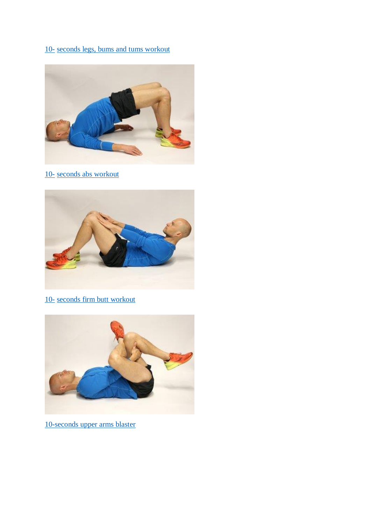# 10- [seconds legs, bums and tums workout](https://www.nhs.uk/live-well/exercise/10-minute-legs-bums-tums-home-workout/)



10- [seconds abs workout](https://www.nhs.uk/live-well/exercise/10-minute-abs-workout/)



10- [seconds firm butt workout](https://www.nhs.uk/live-well/exercise/10-minute-firm-butt-workout/)



10-seconds [upper arms blaster](https://www.nhs.uk/live-well/exercise/10-minute-upper-arms-workout/)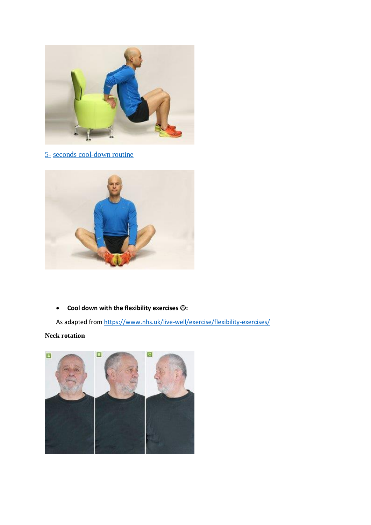

5- [seconds cool-down routine](https://www.nhs.uk/live-well/exercise/how-to-stretch-after-exercising/)



**Cool down with the flexibility exercises :**

As adapted from<https://www.nhs.uk/live-well/exercise/flexibility-exercises/>

#### **Neck rotation**